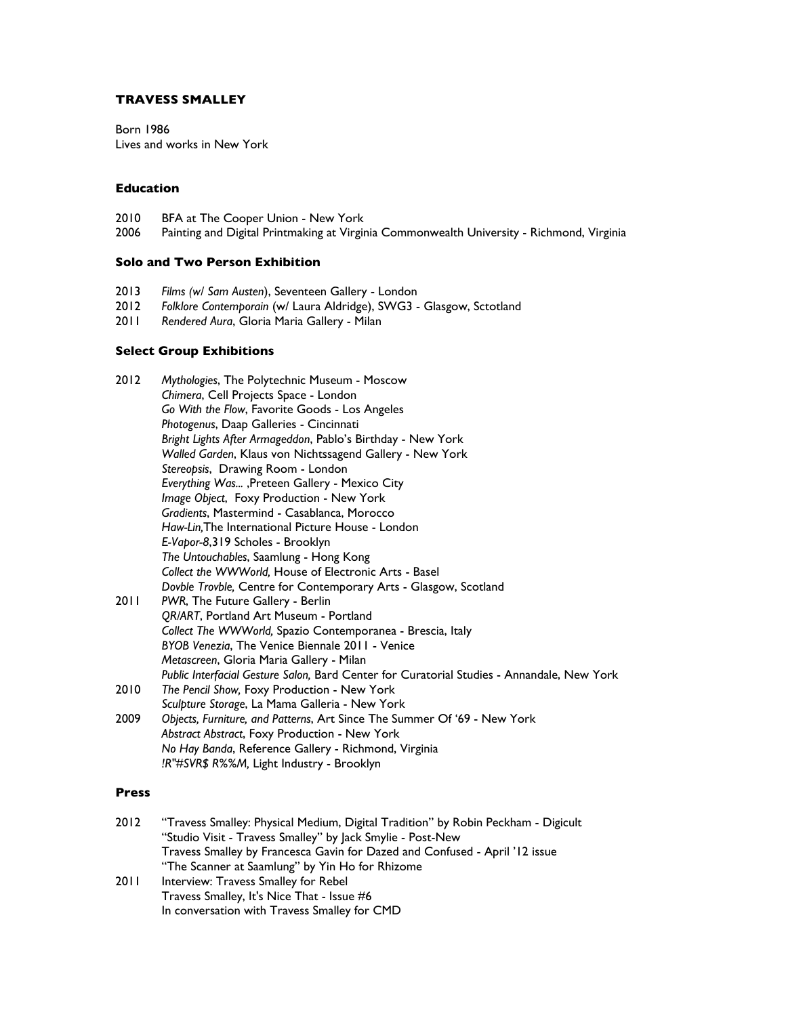## **TRAVESS SMALLEY**

Born 1986 Lives and works in New York

## **Education**

- 2010 BFA at The Cooper Union New York<br>2006 Painting and Digital Printmaking at Virgir
- Painting and Digital Printmaking at Virginia Commonwealth University Richmond, Virginia

## **Solo and Two Person Exhibition**

- 2013 *Films (w/ Sam Austen*), Seventeen Gallery London
- 2012 *Folklore Contemporain* (w/ Laura Aldridge), SWG3 Glasgow, Sctotland
- Rendered Aura, Gloria Maria Gallery Milan

#### **Select Group Exhibitions**

| 2012 | Mythologies, The Polytechnic Museum - Moscow                                               |
|------|--------------------------------------------------------------------------------------------|
|      | Chimera, Cell Projects Space - London                                                      |
|      | Go With the Flow, Favorite Goods - Los Angeles                                             |
|      | Photogenus, Daap Galleries - Cincinnati                                                    |
|      | Bright Lights After Armageddon, Pablo's Birthday - New York                                |
|      | Walled Garden, Klaus von Nichtssagend Gallery - New York                                   |
|      | Stereopsis, Drawing Room - London                                                          |
|      | Everything Was, Preteen Gallery - Mexico City                                              |
|      | Image Object, Foxy Production - New York                                                   |
|      | Gradients, Mastermind - Casablanca, Morocco                                                |
|      | Haw-Lin, The International Picture House - London                                          |
|      | E-Vapor-8,319 Scholes - Brooklyn                                                           |
|      | The Untouchables, Saamlung - Hong Kong                                                     |
|      | Collect the WWWorld, House of Electronic Arts - Basel                                      |
|      | Dovble Trovble, Centre for Contemporary Arts - Glasgow, Scotland                           |
| 2011 | PWR, The Future Gallery - Berlin                                                           |
|      | QR/ART, Portland Art Museum - Portland                                                     |
|      | Collect The WWWorld, Spazio Contemporanea - Brescia, Italy                                 |
|      | BYOB Venezia, The Venice Biennale 2011 - Venice                                            |
|      | Metascreen, Gloria Maria Gallery - Milan                                                   |
|      | Public Interfacial Gesture Salon, Bard Center for Curatorial Studies - Annandale, New York |
| 2010 | The Pencil Show, Foxy Production - New York                                                |
|      | Sculpture Storage, La Mama Galleria - New York                                             |
| 2009 | Objects, Furniture, and Patterns, Art Since The Summer Of '69 - New York                   |
|      | Abstract Abstract, Foxy Production - New York                                              |
|      | No Hay Banda, Reference Gallery - Richmond, Virginia                                       |
|      | !R"#SVR\$ R%%M, Light Industry - Brooklyn                                                  |
|      |                                                                                            |

#### **Press**

| 2012 | "Travess Smalley: Physical Medium, Digital Tradition" by Robin Peckham - Digicult |
|------|-----------------------------------------------------------------------------------|
|      | "Studio Visit - Travess Smalley" by Jack Smylie - Post-New                        |
|      | Travess Smalley by Francesca Gavin for Dazed and Confused - April '12 issue       |
|      | "The Scanner at Saamlung" by Yin Ho for Rhizome                                   |
| 2011 | Interview: Travess Smalley for Rebel                                              |
|      | Travess Smalley, It's Nice That - Issue #6                                        |
|      | In conversation with Travess Smalley for CMD                                      |